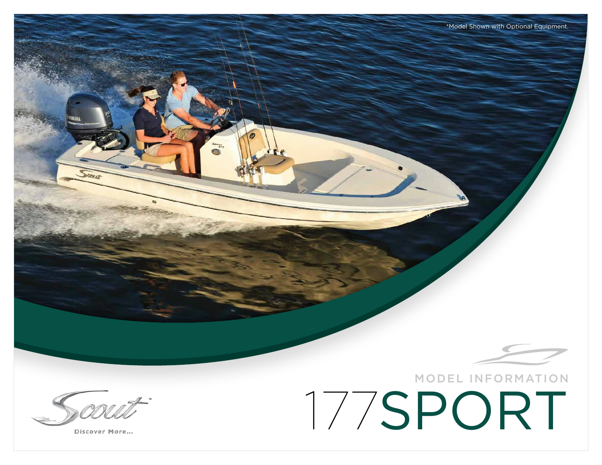Discover More...

## 177SPORT MODEL INFORMATION

\*Model Shown with Optional Equipment.